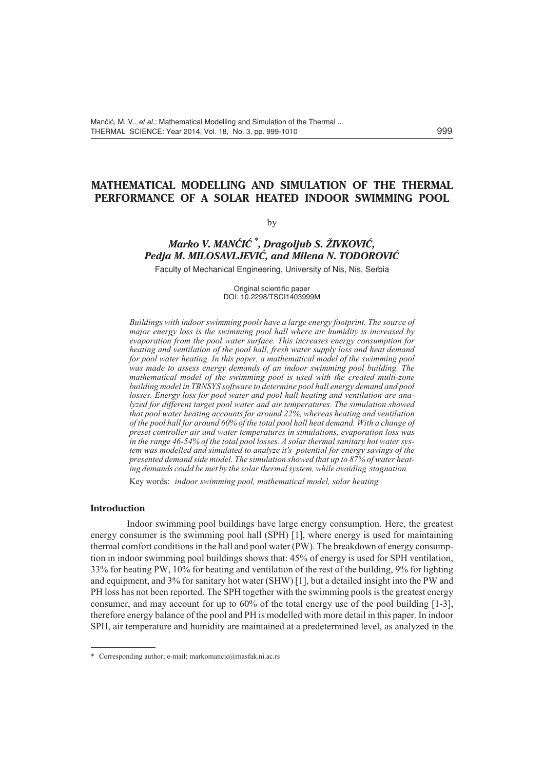# **MATHEMATICAL MODELLING AND SIMULATION OF THE THERMAL PERFORMANCE OF A SOLAR HEATED INDOOR SWIMMING POOL**

## by

# *Marko V. MANČIĆ*<sup>\*</sup>, Dragoljub S. ŽIVKOVIĆ, Pedja M. MILOSAVLJEVIĆ, and Milena N. TODOROVIĆ

Faculty of Mechanical Engineering, University of Nis, Nis, Serbia

Original scientific paper DOI: 10.2298/TSCI1403999M

*Buildings with indoor swimming pools have a large energy footprint. The source of major energy loss is the swimming pool hall where air humidity is increased by evaporation from the pool water surface. This increases energy consumption for heating and ventilation of the pool hall, fresh water supply loss and heat demand for pool water heating. In this paper, a mathematical model of the swimming pool was made to assess energy demands of an indoor swimming pool building. The mathematical model of the swimming pool is used with the created multi-zone building model in TRNSYS software to determine pool hall energy demand and pool losses. Energy loss for pool water and pool hall heating and ventilation are analyzed for different target pool water and air temperatures. The simulation showed that pool water heating accounts for around 22%, whereas heating and ventilation of the pool hall for around 60% of the total pool hall heat demand. With a change of preset controller air and water temperatures in simulations, evaporation loss was in the range 46-54% of the total pool losses. A solar thermal sanitary hot water system was modelled and simulated to analyze it's potential for energy savings of the presented demand side model. The simulation showed that up to 87% of water heating demands could be met by the solar thermal system, while avoiding stagnation.*

Key words: *indoor swimming pool, mathematical model, solar heating*

# **Introduction**

Indoor swimming pool buildings have large energy consumption. Here, the greatest energy consumer is the swimming pool hall (SPH) [1], where energy is used for maintaining thermal comfort conditions in the hall and pool water (PW). The breakdown of energy consumption in indoor swimming pool buildings shows that: 45% of energy is used for SPH ventilation, 33% for heating PW, 10% for heating and ventilation of the rest of the building, 9% for lighting and equipment, and 3% for sanitary hot water (SHW) [1], but a detailed insight into the PW and PH loss has not been reported. The SPH together with the swimming pools is the greatest energy consumer, and may account for up to 60% of the total energy use of the pool building [1-3], therefore energy balance of the pool and PH is modelled with more detail in this paper. In indoor SPH, air temperature and humidity are maintained at a predetermined level, as analyzed in the

<sup>\*</sup> Corresponding author; e-mail: markomancic@masfak.ni.ac.rs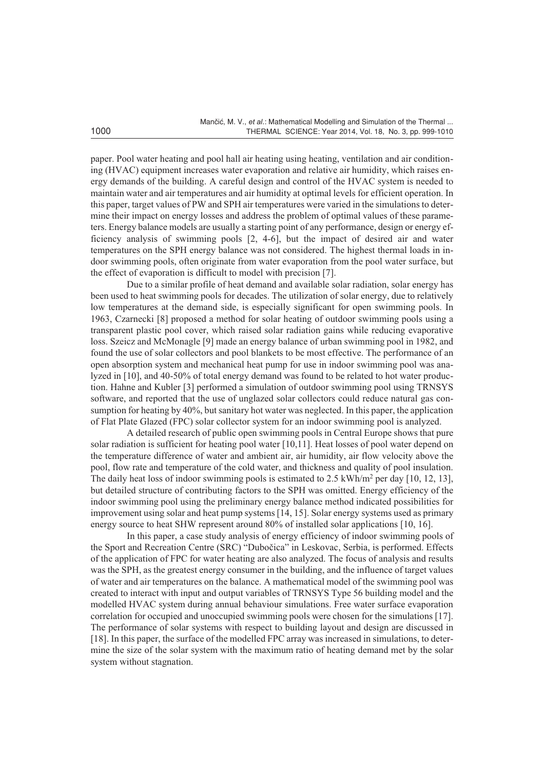paper. Pool water heating and pool hall air heating using heating, ventilation and air conditioning (HVAC) equipment increases water evaporation and relative air humidity, which raises energy demands of the building. A careful design and control of the HVAC system is needed to maintain water and air temperatures and air humidity at optimal levels for efficient operation. In this paper, target values of PW and SPH air temperatures were varied in the simulations to determine their impact on energy losses and address the problem of optimal values of these parameters. Energy balance models are usually a starting point of any performance, design or energy efficiency analysis of swimming pools [2, 4-6], but the impact of desired air and water temperatures on the SPH energy balance was not considered. The highest thermal loads in indoor swimming pools, often originate from water evaporation from the pool water surface, but the effect of evaporation is difficult to model with precision [7].

Due to a similar profile of heat demand and available solar radiation, solar energy has been used to heat swimming pools for decades. The utilization of solar energy, due to relatively low temperatures at the demand side, is especially significant for open swimming pools. In 1963, Czarnecki [8] proposed a method for solar heating of outdoor swimming pools using a transparent plastic pool cover, which raised solar radiation gains while reducing evaporative loss. Szeicz and McMonagle [9] made an energy balance of urban swimming pool in 1982, and found the use of solar collectors and pool blankets to be most effective. The performance of an open absorption system and mechanical heat pump for use in indoor swimming pool was analyzed in [10], and 40-50% of total energy demand was found to be related to hot water production. Hahne and Kubler [3] performed a simulation of outdoor swimming pool using TRNSYS software, and reported that the use of unglazed solar collectors could reduce natural gas consumption for heating by 40%, but sanitary hot water was neglected. In this paper, the application of Flat Plate Glazed (FPC) solar collector system for an indoor swimming pool is analyzed.

A detailed research of public open swimming pools in Central Europe shows that pure solar radiation is sufficient for heating pool water [10,11]. Heat losses of pool water depend on the temperature difference of water and ambient air, air humidity, air flow velocity above the pool, flow rate and temperature of the cold water, and thickness and quality of pool insulation. The daily heat loss of indoor swimming pools is estimated to  $2.5 \text{ kWh/m}^2$  per day [10, 12, 13], but detailed structure of contributing factors to the SPH was omitted. Energy efficiency of the indoor swimming pool using the preliminary energy balance method indicated possibilities for improvement using solar and heat pump systems [14, 15]. Solar energy systems used as primary energy source to heat SHW represent around 80% of installed solar applications [10, 16].

In this paper, a case study analysis of energy efficiency of indoor swimming pools of the Sport and Recreation Centre (SRC) "Dubočica" in Leskovac, Serbia, is performed. Effects of the application of FPC for water heating are also analyzed. The focus of analysis and results was the SPH, as the greatest energy consumer in the building, and the influence of target values of water and air temperatures on the balance. A mathematical model of the swimming pool was created to interact with input and output variables of TRNSYS Type 56 building model and the modelled HVAC system during annual behaviour simulations. Free water surface evaporation correlation for occupied and unoccupied swimming pools were chosen for the simulations [17]. The performance of solar systems with respect to building layout and design are discussed in [18]. In this paper, the surface of the modelled FPC array was increased in simulations, to determine the size of the solar system with the maximum ratio of heating demand met by the solar system without stagnation.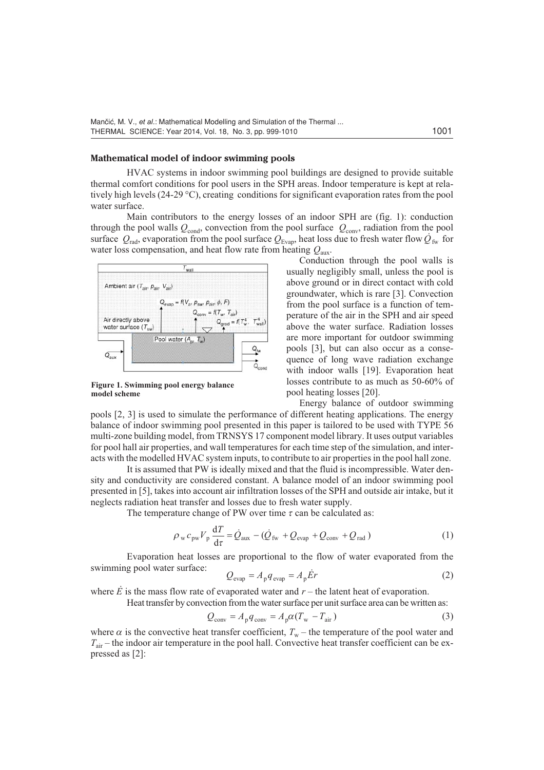#### **Mathematical model of indoor swimming pools**

HVAC systems in indoor swimming pool buildings are designed to provide suitable thermal comfort conditions for pool users in the SPH areas. Indoor temperature is kept at relatively high levels (24-29 °C), creating conditions for significant evaporation rates from the pool water surface.

Main contributors to the energy losses of an indoor SPH are (fig. 1): conduction through the pool walls  $Q_{cond}$ , convection from the pool surface  $Q_{conv}$ , radiation from the pool thermal comfort conditions for pool users in the SPH areas. Indoor temperature is kept at relatively high levels (24-29 °C), creating conditions for significant evaporation rates from the pool water surface.<br>Main contribu water loss compensation, and heat flow rate from heating  $Q_{\text{aux}}$ .



**Figure 1. Swimming pool energy balance model scheme**

Conduction through the pool walls is usually negligibly small, unless the pool is above ground or in direct contact with cold groundwater, which is rare [3]. Convection from the pool surface is a function of temperature of the air in the SPH and air speed above the water surface. Radiation losses are more important for outdoor swimming pools [3], but can also occur as a consequence of long wave radiation exchange with indoor walls [19]. Evaporation heat losses contribute to as much as 50-60% of pool heating losses [20].

Energy balance of outdoor swimming pools [2, 3] is used to simulate the performance of different heating applications. The energy balance of indoor swimming pool presented in this paper is tailored to be used with TYPE 56 multi-zone building model, from TRNSYS 17 component model library. It uses output variables for pool hall air properties, and wall temperatures for each time step of the simulation, and interacts with the modelled HVAC system inputs, to contribute to air properties in the pool hall zone.

It is assumed that PW is ideally mixed and that the fluid is incompressible. Water density and conductivity are considered constant. A balance model of an indoor swimming pool presented in [5], takes into account air infiltration losses of the SPH and outside air intake, but it neglects radiation heat transfer and losses due to fresh water supply. constant. A balance model of an indoor swimming pool<br>
i infiltration losses of the SPH and outside air intake, but it<br>
sses due to fresh water supply.<br>
PW over time  $\tau$  can be calculated as:<br>  $\dot{Q}_{\text{aux}} - (\dot{Q}_{\text{fw}} + Q_{\text{$ 

The temperature change of PW over time  $\tau$  can be calculated as:

$$
\rho_{\rm w} c_{\rm pw} V_{\rm p} \frac{\mathrm{d}T}{\mathrm{d}\tau} = \dot{Q}_{\rm aux} - (\dot{Q}_{\rm fw} + Q_{\rm evap} + Q_{\rm conv} + Q_{\rm rad})
$$
 (1

Evaporation heat losses are proportional to the flow of water evaporated from the  $\rho_w c_{pw} V_p \frac{dT}{d\tau} = \dot{Q}_{aux} - (\dot{Q}_{fw} + Q_{evap} + Q_{conv} + Q_{rad})$  (1)<br>Evaporation heat losses are proportional to the flow of water evaporated from the<br>swimming pool water surface:  $Q_{evap} = A_p q_{evap} = A_p \dot{E}r$  (2) swimming pool water surface:<br>  $Q_{\text{evap}} = A_p q_{\text{evap}} = A_p \dot{E}r$ <br>
where  $\dot{E}$  is the mass flow rate of evaporated water and *r* – the latent heat of evaporation.

$$
Q_{\text{evap}} = A_p q_{\text{evap}} = A_p E r \tag{2}
$$

Heat transfer by convection from the water surface per unit surface area can be written as:

$$
Q_{\text{conv}} = A_{\text{p}} q_{\text{conv}} = A_{\text{p}} \alpha (T_{\text{w}} - T_{\text{air}})
$$
 (3)

where  $\alpha$  is the convective heat transfer coefficient,  $T_w$  – the temperature of the pool water and  $T_{\text{air}}$  – the indoor air temperature in the pool hall. Convective heat transfer coefficient can be expressed as [2]: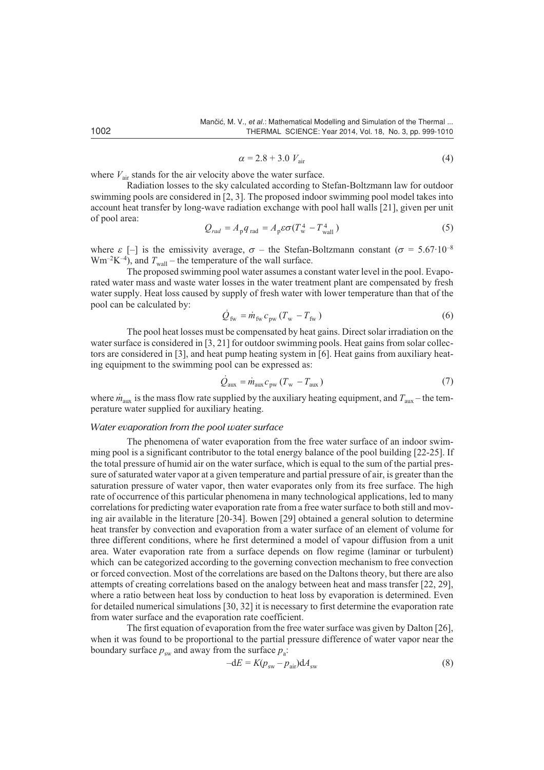$$
\alpha = 2.8 + 3.0 V_{\text{air}} \tag{4}
$$

where  $V_{\text{air}}$  stands for the air velocity above the water surface.

Radiation losses to the sky calculated according to Stefan-Boltzmann law for outdoor swimming pools are considered in [2, 3]. The proposed indoor swimming pool model takes into account heat transfer by long-wave radiation exchange with pool hall walls [21], given per unit of pool area:

$$
Q_{rad} = A_p q_{rad} = A_p \varepsilon \sigma (T_w^4 - T_{wall}^4)
$$
 (5)

where  $\varepsilon$  [-] is the emissivity average,  $\sigma$  – the Stefan-Boltzmann constant ( $\sigma$  = 5.67·10<sup>-8</sup>

 $Wm^{-2}K^{-4}$ ), and  $T_{wall}$  – the temperature of the wall surface.<br>The proposed swimming pool water assumes a co<br>rated water mass and waste water losses in the water treat<br>water supply. Heat loss caused by supply of fresh wa The proposed swimming pool water assumes a constant water level in the pool. Evaporated water mass and waste water losses in the water treatment plant are compensated by fresh water supply. Heat loss caused by supply of fresh water with lower temperature than that of the fure of the wall surface.<br>
pool water assumes a cons<br>
losses in the water treatme<br>
supply of fresh water with<br>  $\dot{Q}_{f_w} = \dot{m}_{f_w} c_{p_w} (T_w - T_{f_w})$ 

$$
\dot{Q}_{\text{fw}} = \dot{m}_{\text{fw}} c_{\text{pw}} \left( T_{\text{w}} - T_{\text{fw}} \right) \tag{6}
$$

The pool heat losses must be compensated by heat gains. Direct solar irradiation on the face is considered in [3, 21] for outdoor swimming pools. Heat gains from solar colleconsidered in [3], and heat pump heating system water surface is considered in [3, 21] for outdoor swimming pools. Heat gains from solar collectors are considered in [3], and heat pump heating system in [6]. Heat gains from auxiliary heating equipment to the swimming pool can be expressed as:

$$
\dot{Q}_{\text{aux}} = \dot{m}_{\text{aux}} c_{\text{pw}} \left( T_{\text{w}} - T_{\text{aux}} \right) \tag{7}
$$

where  $\dot{m}_{\text{aux}}$  is the mass flow rate supplied by the auxiliary heating equipment, and  $T_{\text{aux}}$  – the temperature water supplied for auxiliary heating.

# *Water evaporation from the pool water surface*

The phenomena of water evaporation from the free water surface of an indoor swimming pool is a significant contributor to the total energy balance of the pool building [22-25]. If the total pressure of humid air on the water surface, which is equal to the sum of the partial pressure of saturated water vapor at a given temperature and partial pressure of air, is greater than the saturation pressure of water vapor, then water evaporates only from its free surface. The high rate of occurrence of this particular phenomena in many technological applications, led to many correlations for predicting water evaporation rate from a free water surface to both still and moving air available in the literature [20-34]. Bowen [29] obtained a general solution to determine heat transfer by convection and evaporation from a water surface of an element of volume for three different conditions, where he first determined a model of vapour diffusion from a unit area. Water evaporation rate from a surface depends on flow regime (laminar or turbulent) which can be categorized according to the governing convection mechanism to free convection or forced convection. Most of the correlations are based on the Daltons theory, but there are also attempts of creating correlations based on the analogy between heat and mass transfer [22, 29], where a ratio between heat loss by conduction to heat loss by evaporation is determined. Even for detailed numerical simulations [30, 32] it is necessary to first determine the evaporation rate from water surface and the evaporation rate coefficient.

The first equation of evaporation from the free water surface was given by Dalton [26], when it was found to be proportional to the partial pressure difference of water vapor near the boundary surface  $p_{sw}$  and away from the surface  $p_a$ .

$$
-dE = K(p_{\rm sw} - p_{\rm air})dA_{\rm sw}
$$
\n(8)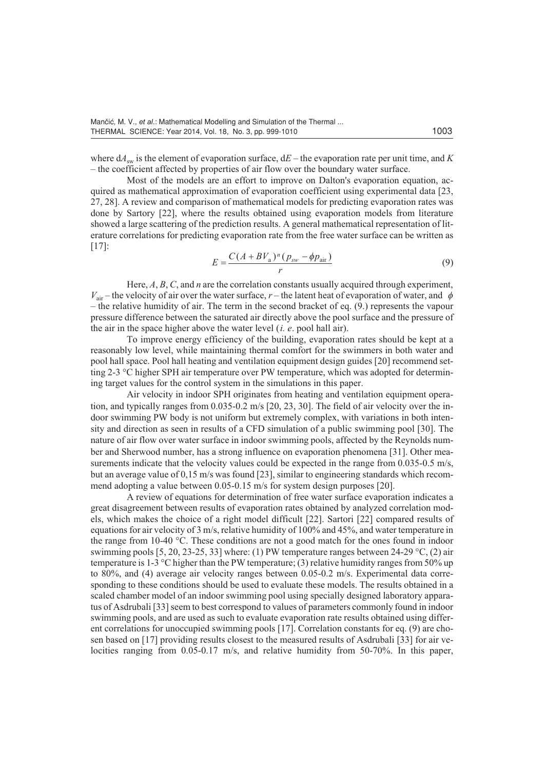where  $dA_{sw}$  is the element of evaporation surface,  $dE$  – the evaporation rate per unit time, and *K* – the coefficient affected by properties of air flow over the boundary water surface.

Most of the models are an effort to improve on Dalton's evaporation equation, acquired as mathematical approximation of evaporation coefficient using experimental data [23, 27, 28]. A review and comparison of mathematical models for predicting evaporation rates was done by Sartory [22], where the results obtained using evaporation models from literature showed a large scattering of the prediction results. A general mathematical representation of literature correlations for predicting evaporation rate from the free water surface can be written as [17]:

$$
E = \frac{C(A + BV_a)^n (p_{sw} - \phi p_{air})}{r}
$$
 (9)

Here, *A*, *B*, *C*, and *n* are the correlation constants usually acquired through experiment,  $V_{\text{air}}$  – the velocity of air over the water surface, *r* – the latent heat of evaporation of water, and  $\phi$ – the relative humidity of air. The term in the second bracket of eq. (9.) represents the vapour pressure difference between the saturated air directly above the pool surface and the pressure of the air in the space higher above the water level (*i. e*. pool hall air).

To improve energy efficiency of the building, evaporation rates should be kept at a reasonably low level, while maintaining thermal comfort for the swimmers in both water and pool hall space. Pool hall heating and ventilation equipment design guides [20] recommend setting 2-3 °C higher SPH air temperature over PW temperature, which was adopted for determining target values for the control system in the simulations in this paper.

Air velocity in indoor SPH originates from heating and ventilation equipment operation, and typically ranges from 0.035-0.2 m/s [20, 23, 30]. The field of air velocity over the indoor swimming PW body is not uniform but extremely complex, with variations in both intensity and direction as seen in results of a CFD simulation of a public swimming pool [30]. The nature of air flow over water surface in indoor swimming pools, affected by the Reynolds number and Sherwood number, has a strong influence on evaporation phenomena [31]. Other measurements indicate that the velocity values could be expected in the range from 0.035-0.5 m/s, but an average value of 0,15 m/s was found [23], similar to engineering standards which recommend adopting a value between 0.05-0.15 m/s for system design purposes [20].

A review of equations for determination of free water surface evaporation indicates a great disagreement between results of evaporation rates obtained by analyzed correlation models, which makes the choice of a right model difficult [22]. Sartori [22] compared results of equations for air velocity of 3 m/s, relative humidity of 100% and 45%, and water temperature in the range from 10-40 °C. These conditions are not a good match for the ones found in indoor swimming pools [5, 20, 23-25, 33] where: (1) PW temperature ranges between 24-29  $^{\circ}$ C, (2) air temperature is 1-3 °C higher than the PW temperature; (3) relative humidity ranges from 50% up to 80%, and (4) average air velocity ranges between 0.05-0.2 m/s. Experimental data corresponding to these conditions should be used to evaluate these models. The results obtained in a scaled chamber model of an indoor swimming pool using specially designed laboratory apparatus of Asdrubali [33] seem to best correspond to values of parameters commonly found in indoor swimming pools, and are used as such to evaluate evaporation rate results obtained using different correlations for unoccupied swimming pools [17]. Correlation constants for eq. (9) are chosen based on [17] providing results closest to the measured results of Asdrubali [33] for air velocities ranging from 0.05-0.17 m/s, and relative humidity from 50-70%. In this paper,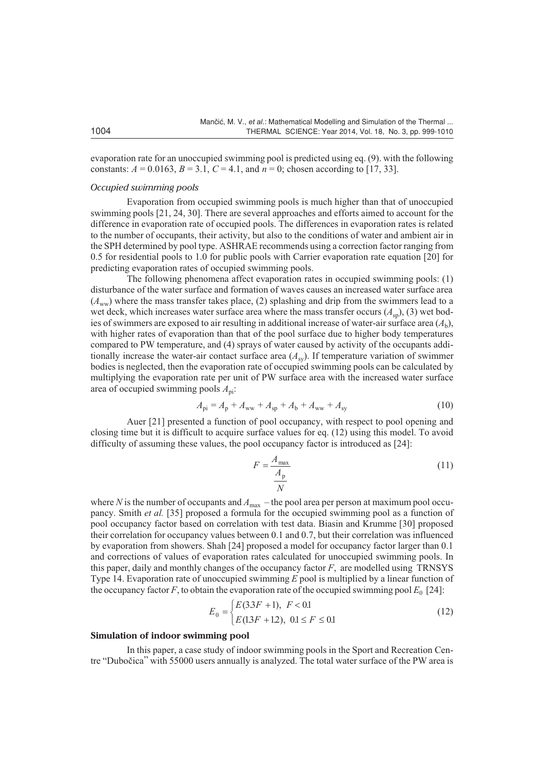evaporation rate for an unoccupied swimming pool is predicted using eq. (9). with the following constants:  $A = 0.0163$ ,  $B = 3.1$ ,  $C = 4.1$ , and  $n = 0$ ; chosen according to [17, 33].

### *Occupied swimming pools*

Evaporation from occupied swimming pools is much higher than that of unoccupied swimming pools [21, 24, 30]. There are several approaches and efforts aimed to account for the difference in evaporation rate of occupied pools. The differences in evaporation rates is related to the number of occupants, their activity, but also to the conditions of water and ambient air in the SPH determined by pool type. ASHRAE recommends using a correction factor ranging from 0.5 for residential pools to 1.0 for public pools with Carrier evaporation rate equation [20] for predicting evaporation rates of occupied swimming pools.

The following phenomena affect evaporation rates in occupied swimming pools: (1) disturbance of the water surface and formation of waves causes an increased water surface area  $(A<sub>ww</sub>)$  where the mass transfer takes place, (2) splashing and drip from the swimmers lead to a wet deck, which increases water surface area where the mass transfer occurs  $(A_{\text{sp}})$ , (3) wet bodies of swimmers are exposed to air resulting in additional increase of water-air surface area  $(A<sub>b</sub>)$ , with higher rates of evaporation than that of the pool surface due to higher body temperatures compared to PW temperature, and (4) sprays of water caused by activity of the occupants additionally increase the water-air contact surface area  $(A_{\rm sv})$ . If temperature variation of swimmer bodies is neglected, then the evaporation rate of occupied swimming pools can be calculated by multiplying the evaporation rate per unit of PW surface area with the increased water surface area of occupied swimming pools  $A_{pi}$ :

$$
A_{\rm pi} = A_{\rm p} + A_{\rm ww} + A_{\rm sp} + A_{\rm b} + A_{\rm ww} + A_{\rm sy}
$$
 (10)

Auer [21] presented a function of pool occupancy, with respect to pool opening and closing time but it is difficult to acquire surface values for eq. (12) using this model. To avoid difficulty of assuming these values, the pool occupancy factor is introduced as [24]:

$$
F = \frac{A_{\text{max}}}{\frac{A_{\text{p}}}{N}}
$$
(11)

where *N* is the number of occupants and  $A_{\text{max}}$  – the pool area per person at maximum pool occupancy. Smith *et al.* [35] proposed a formula for the occupied swimming pool as a function of pool occupancy factor based on correlation with test data. Biasin and Krumme [30] proposed their correlation for occupancy values between 0.1 and 0.7, but their correlation was influenced by evaporation from showers. Shah [24] proposed a model for occupancy factor larger than 0.1 and corrections of values of evaporation rates calculated for unoccupied swimming pools. In this paper, daily and monthly changes of the occupancy factor *F*, are modelled using TRNSYS Type 14. Evaporation rate of unoccupied swimming *E* pool is multiplied by a linear function of the occupancy factor  $F$ , to obtain the evaporation rate of the occupied swimming pool  $E_0$  [24]:

$$
E_0 = \begin{cases} E(33F + 1), & F < 0.1\\ E(13F + 12), & 0.1 \le F \le 0.1 \end{cases}
$$
(12)

#### **Simulation of indoor swimming pool**

In this paper, a case study of indoor swimming pools in the Sport and Recreation Centre "Dubočica" with 55000 users annually is analyzed. The total water surface of the PW area is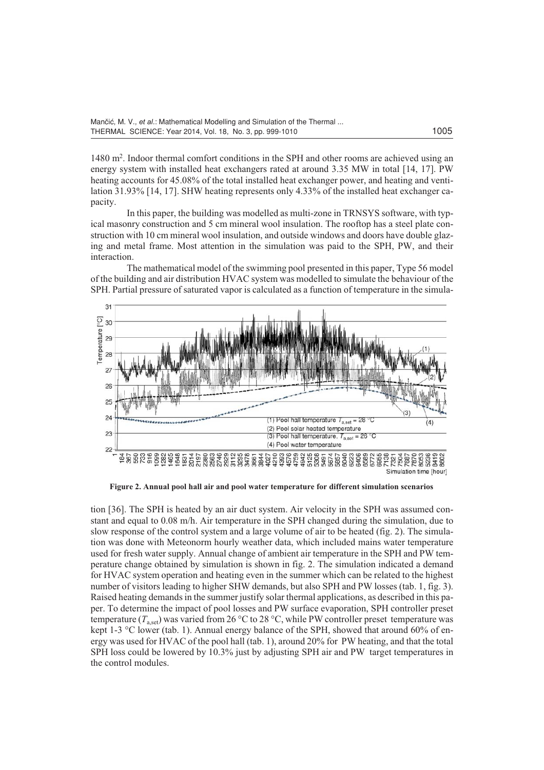1480 m2. Indoor thermal comfort conditions in the SPH and other rooms are achieved using an energy system with installed heat exchangers rated at around 3.35 MW in total [14, 17]. PW heating accounts for 45.08% of the total installed heat exchanger power, and heating and ventilation 31.93% [14, 17]. SHW heating represents only 4.33% of the installed heat exchanger capacity.

In this paper, the building was modelled as multi-zone in TRNSYS software, with typical masonry construction and 5 cm mineral wool insulation. The rooftop has a steel plate construction with 10 cm mineral wool insulation, and outside windows and doors have double glazing and metal frame. Most attention in the simulation was paid to the SPH, PW, and their interaction.

The mathematical model of the swimming pool presented in this paper, Type 56 model of the building and air distribution HVAC system was modelled to simulate the behaviour of the SPH. Partial pressure of saturated vapor is calculated as a function of temperature in the simula-



**Figure 2. Annual pool hall air and pool water temperature for different simulation scenarios**

tion [36]. The SPH is heated by an air duct system. Air velocity in the SPH was assumed constant and equal to 0.08 m/h. Air temperature in the SPH changed during the simulation, due to slow response of the control system and a large volume of air to be heated (fig. 2). The simulation was done with Meteonorm hourly weather data, which included mains water temperature used for fresh water supply. Annual change of ambient air temperature in the SPH and PW temperature change obtained by simulation is shown in fig. 2. The simulation indicated a demand for HVAC system operation and heating even in the summer which can be related to the highest number of visitors leading to higher SHW demands, but also SPH and PW losses (tab. 1, fig. 3). Raised heating demands in the summer justify solar thermal applications, as described in this paper. To determine the impact of pool losses and PW surface evaporation, SPH controller preset temperature  $(T_{\text{a,set}})$  was varied from 26 °C to 28 °C, while PW controller preset temperature was kept 1-3 °C lower (tab. 1). Annual energy balance of the SPH, showed that around 60% of energy was used for HVAC of the pool hall (tab. 1), around 20% for PW heating, and that the total SPH loss could be lowered by 10.3% just by adjusting SPH air and PW target temperatures in the control modules.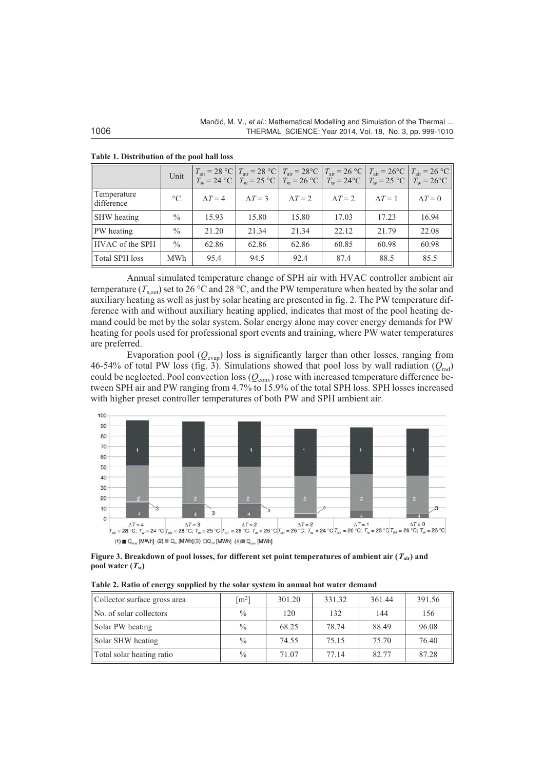| Tuble 11 Distribution of the pool hun loss |                 |                 |                 |                 |                                                                                                                                     |                 |                                                                                                                                                                                                       |  |  |  |  |
|--------------------------------------------|-----------------|-----------------|-----------------|-----------------|-------------------------------------------------------------------------------------------------------------------------------------|-----------------|-------------------------------------------------------------------------------------------------------------------------------------------------------------------------------------------------------|--|--|--|--|
|                                            | Unit            |                 |                 |                 | $T_w = 24 \text{ °C}$ $T_w = 25 \text{ °C}$ $T_w = 26 \text{ °C}$ $T_w = 24 \text{ °C}$ $T_w = 25 \text{ °C}$ $T_w = 26 \text{ °C}$ |                 | $T_{\text{air}} = 28 \text{ °C}$ $T_{\text{air}} = 28 \text{ °C}$ $T_{\text{air}} = 28 \text{ °C}$ $T_{\text{air}} = 26 \text{ °C}$ $T_{\text{air}} = 26 \text{ °C}$ $T_{\text{air}} = 26 \text{ °C}$ |  |  |  |  |
| Temperature<br>difference                  | $\rm ^{\circ}C$ | $\Lambda T = 4$ | $\Lambda T = 3$ | $\Lambda T = 2$ | $\Lambda T = 2$                                                                                                                     | $\Lambda T = 1$ | $\Lambda T = 0$                                                                                                                                                                                       |  |  |  |  |
| SHW heating                                | $\frac{0}{0}$   | 15.93           | 15.80           | 15.80           | 17.03                                                                                                                               | 17.23           | 16.94                                                                                                                                                                                                 |  |  |  |  |
| <b>PW</b> heating                          | $\frac{0}{0}$   | 21.20           | 21.34           | 21.34           | 22.12                                                                                                                               | 21.79           | 22.08                                                                                                                                                                                                 |  |  |  |  |
| HVAC of the SPH                            | $\frac{0}{0}$   | 62.86           | 62.86           | 62.86           | 60.85                                                                                                                               | 60.98           | 60.98                                                                                                                                                                                                 |  |  |  |  |
| Total SPH loss                             | MWh             | 95.4            | 94.5            | 92.4            | 87.4                                                                                                                                | 88.5            | 85.5                                                                                                                                                                                                  |  |  |  |  |

**Table 1. Distribution of the pool hall loss**

Annual simulated temperature change of SPH air with HVAC controller ambient air temperature  $(T_{\text{a set}})$  set to 26 °C and 28 °C, and the PW temperature when heated by the solar and auxiliary heating as well as just by solar heating are presented in fig. 2. The PW temperature difference with and without auxiliary heating applied, indicates that most of the pool heating demand could be met by the solar system. Solar energy alone may cover energy demands for PW heating for pools used for professional sport events and training, where PW water temperatures are preferred.

Evaporation pool  $(Q_{evan})$  loss is significantly larger than other losses, ranging from 46-54% of total PW loss (fig. 3). Simulations showed that pool loss by wall radiation  $(Q_{rad})$ could be neglected. Pool convection loss  $(Q_{\text{conv}})$  rose with increased temperature difference between SPH air and PW ranging from 4.7% to 15.9% of the total SPH loss. SPH losses increased with higher preset controller temperatures of both PW and SPH ambient air.



**Figure 3. Breakdown of pool losses, for different set point temperatures of ambient air (***T***air) and pool** water  $(T_w)$ 

| Collector surface gross area        | $\lceil m^2 \rceil$ | 301.20 | 331.32 | 361.44 | 391.56 |
|-------------------------------------|---------------------|--------|--------|--------|--------|
| $\parallel$ No. of solar collectors | $\frac{0}{0}$       | 120    | 132    | 144    | 156    |
| Solar PW heating                    | $\frac{0}{0}$       | 68.25  | 78.74  | 88.49  | 96.08  |
| Solar SHW heating                   | $\frac{0}{0}$       | 74.55  | 75.15  | 75.70  | 76.40  |
| Total solar heating ratio           | $\frac{0}{0}$       | 71.07  | 77.14  | 82.77  | 87.28  |

**Table 2. Ratio of energy supplied by the solar system in annual hot water demand**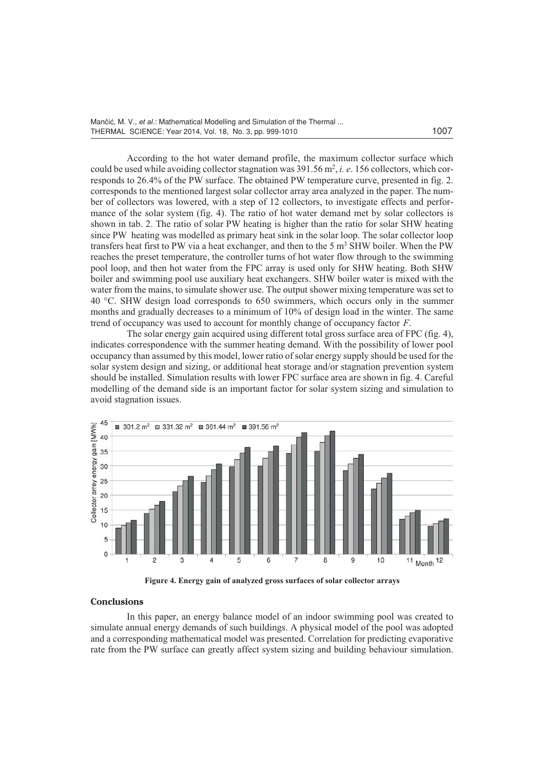According to the hot water demand profile, the maximum collector surface which could be used while avoiding collector stagnation was 391.56 m2, *i. e*. 156 collectors, which corresponds to 26.4% of the PW surface. The obtained PW temperature curve, presented in fig. 2. corresponds to the mentioned largest solar collector array area analyzed in the paper. The number of collectors was lowered, with a step of 12 collectors, to investigate effects and performance of the solar system (fig. 4). The ratio of hot water demand met by solar collectors is shown in tab. 2. The ratio of solar PW heating is higher than the ratio for solar SHW heating since PW heating was modelled as primary heat sink in the solar loop. The solar collector loop transfers heat first to PW via a heat exchanger, and then to the  $5 \text{ m}^3$  SHW boiler. When the PW reaches the preset temperature, the controller turns of hot water flow through to the swimming pool loop, and then hot water from the FPC array is used only for SHW heating. Both SHW boiler and swimming pool use auxiliary heat exchangers. SHW boiler water is mixed with the water from the mains, to simulate shower use. The output shower mixing temperature was set to 40 °C. SHW design load corresponds to 650 swimmers, which occurs only in the summer months and gradually decreases to a minimum of 10% of design load in the winter. The same trend of occupancy was used to account for monthly change of occupancy factor *F*.

The solar energy gain acquired using different total gross surface area of FPC (fig. 4), indicates correspondence with the summer heating demand. With the possibility of lower pool occupancy than assumed by this model, lower ratio of solar energy supply should be used for the solar system design and sizing, or additional heat storage and/or stagnation prevention system should be installed. Simulation results with lower FPC surface area are shown in fig. 4. Careful modelling of the demand side is an important factor for solar system sizing and simulation to avoid stagnation issues.



**Figure 4. Energy gain of analyzed gross surfaces of solar collector arrays**

## **Conclusions**

In this paper, an energy balance model of an indoor swimming pool was created to simulate annual energy demands of such buildings. A physical model of the pool was adopted and a corresponding mathematical model was presented. Correlation for predicting evaporative rate from the PW surface can greatly affect system sizing and building behaviour simulation.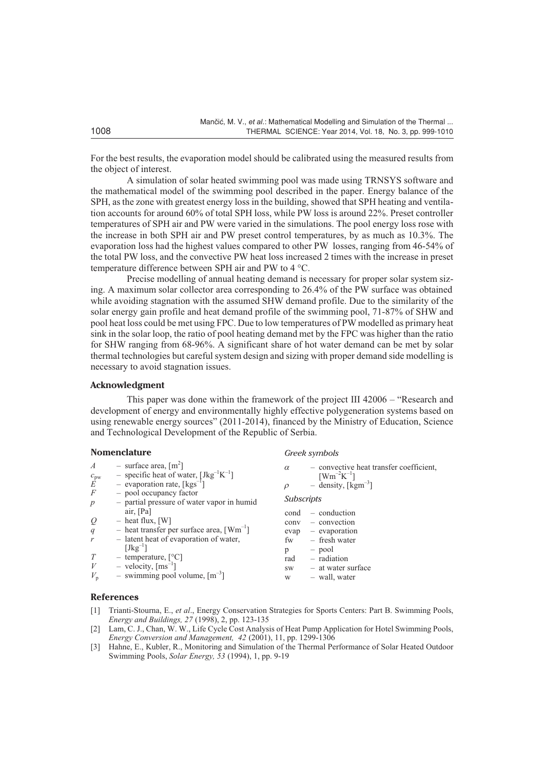For the best results, the evaporation model should be calibrated using the measured results from the object of interest.

A simulation of solar heated swimming pool was made using TRNSYS software and the mathematical model of the swimming pool described in the paper. Energy balance of the SPH, as the zone with greatest energy loss in the building, showed that SPH heating and ventilation accounts for around 60% of total SPH loss, while PW loss is around 22%. Preset controller temperatures of SPH air and PW were varied in the simulations. The pool energy loss rose with the increase in both SPH air and PW preset control temperatures, by as much as 10.3%. The evaporation loss had the highest values compared to other PW losses, ranging from 46-54% of the total PW loss, and the convective PW heat loss increased 2 times with the increase in preset temperature difference between SPH air and PW to 4 °C.

Precise modelling of annual heating demand is necessary for proper solar system sizing. A maximum solar collector area corresponding to 26.4% of the PW surface was obtained while avoiding stagnation with the assumed SHW demand profile. Due to the similarity of the solar energy gain profile and heat demand profile of the swimming pool, 71-87% of SHW and pool heat loss could be met using FPC. Due to low temperatures of PW modelled as primary heat sink in the solar loop, the ratio of pool heating demand met by the FPC was higher than the ratio for SHW ranging from 68-96%. A significant share of hot water demand can be met by solar thermal technologies but careful system design and sizing with proper demand side modelling is necessary to avoid stagnation issues.

# **Acknowledgment**

This paper was done within the framework of the project III 42006 – "Research and development of energy and environmentally highly effective polygeneration systems based on using renewable energy sources" (2011-2014), financed by the Ministry of Education, Science and Technological Development of the Republic of Serbia.

*Greek symbols*

### **Nomenclature**

| - specific heat of water, $[Jkg^{-1}K^{-1}]$<br>$[{\rm Wm}^{-2}{\rm K}^{-1}]$                                           |  |
|-------------------------------------------------------------------------------------------------------------------------|--|
| $\stackrel{C_{\rm pw}}{E}$<br>- evaporation rate, $[kgs^{-1}]$<br>$-$ density, [kgm <sup>-3</sup> ]                     |  |
| $\,F$<br>- pool occupancy factor<br><b>Subscripts</b><br>- partial pressure of water vapor in humid<br>$\boldsymbol{p}$ |  |
| air, [Pa]<br>- conduction<br>cond                                                                                       |  |
| $-$ heat flux, [W]<br>$\varrho$<br>- convection<br>conv                                                                 |  |
| - heat transfer per surface area, $\lceil Wm^{-1} \rceil$<br>q<br>$evap - evaporation$                                  |  |
| - latent heat of evaporation of water,<br>r<br>$f_{\rm W}$ – fresh water                                                |  |
| $[Jkg^{-1}]$<br>$-$ pool<br>p                                                                                           |  |
| T<br>- temperature, $[^{\circ}C]$<br>- radiation<br>rad                                                                 |  |
| $-$ velocity, $\lceil ms^{-1} \rceil$<br>V<br>$sw - at water surface$                                                   |  |
| - swimming pool volume, $[m^{-3}]$<br>$V_{\rm p}$<br>- wall, water<br>W                                                 |  |

#### **References**

- [1] Trianti-Stourna, E., *et al*., Energy Conservation Strategies for Sports Centers: Part B. Swimming Pools, *Energy and Buildings, 27* (1998), 2, pp. 123-135
- [2] Lam, C. J., Chan, W. W., Life Cycle Cost Analysis of Heat Pump Application for Hotel Swimming Pools, *Energy Conversion and Management, 42* (2001), 11, pp. 1299-1306
- [3] Hahne, E., Kubler, R., Monitoring and Simulation of the Thermal Performance of Solar Heated Outdoor Swimming Pools, *Solar Energy, 53* (1994), 1, pp. 9-19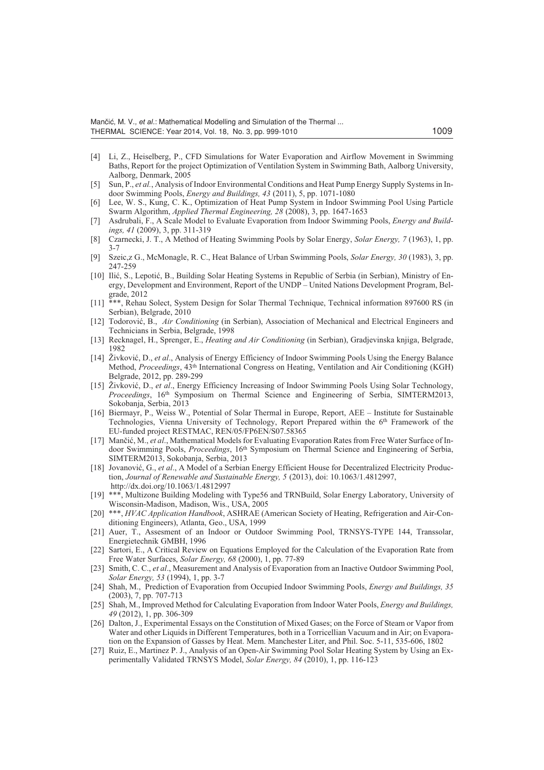Mančić, M. V., *et al.*: Mathematical Modelling and Simulation of the Thermal ... THERMAL SCIENCE: Year 2014, Vol. 18, No. 3, pp. 999-1010 1009

- [4] Li, Z., Heiselberg, P., CFD Simulations for Water Evaporation and Airflow Movement in Swimming Baths, Report for the project Optimization of Ventilation System in Swimming Bath, Aalborg University, Aalborg, Denmark, 2005
- [5] Sun, P., *et al.*, Analysis of Indoor Environmental Conditions and Heat Pump Energy Supply Systems in Indoor Swimming Pools, *Energy and Buildings, 43* (2011), 5, pp. 1071-1080
- [6] Lee, W. S., Kung, C. K., Optimization of Heat Pump System in Indoor Swimming Pool Using Particle Swarm Algorithm, *Applied Thermal Engineering, 28* (2008), 3, pp. 1647-1653
- [7] Asdrubali, F., A Scale Model to Evaluate Evaporation from Indoor Swimming Pools, *Energy and Buildings, 41* (2009), 3, pp. 311-319
- [8] Czarnecki, J. T., A Method of Heating Swimming Pools by Solar Energy, *Solar Energy, 7* (1963), 1, pp. 3-7
- [9] Szeic,z G., McMonagle, R. C., Heat Balance of Urban Swimming Pools, *Solar Energy, 30* (1983), 3, pp. 247-259
- [10] Ilić, S., Lepotić, B., Building Solar Heating Systems in Republic of Serbia (in Serbian), Ministry of Energy, Development and Environment, Report of the UNDP – United Nations Development Program, Belgrade, 2012
- [11] \*\*\*, Rehau Solect, System Design for Solar Thermal Technique, Technical information 897600 RS (in Serbian), Belgrade, 2010
- [12] Todorović, B., *Air Conditioning* (in Serbian), Association of Mechanical and Electrical Engineers and Technicians in Serbia, Belgrade, 1998
- [13] Recknagel, H., Sprenger, E., *Heating and Air Conditioning* (in Serbian), Gradjevinska knjiga, Belgrade, 1982
- [14] Živković, D., *et al.*, Analysis of Energy Efficiency of Indoor Swimming Pools Using the Energy Balance Method, *Proceedings*, 43th International Congress on Heating, Ventilation and Air Conditioning (KGH) Belgrade, 2012, pp. 289-299
- [15] Živković, D., *et al.*, Energy Efficiency Increasing of Indoor Swimming Pools Using Solar Technology, *Proceedings*, 16th Symposium on Thermal Science and Engineering of Serbia, SIMTERM2013, Sokobanja, Serbia, 2013
- [16] Biermayr, P., Weiss W., Potential of Solar Thermal in Europe, Report, AEE Institute for Sustainable Technologies, Vienna University of Technology, Report Prepared within the 6<sup>th</sup> Framework of the EU-funded project RESTMAC, REN/05/FP6EN/S07.58365
- [17] Mančić, M., *et al.*, Mathematical Models for Evaluating Evaporation Rates from Free Water Surface of Indoor Swimming Pools, *Proceedings*, 16<sup>th</sup> Symposium on Thermal Science and Engineering of Serbia, SIMTERM2013, Sokobanja, Serbia, 2013
- [18] Jovanović, G., et al., A Model of a Serbian Energy Efficient House for Decentralized Electricity Production, *Journal of Renewable and Sustainable Energy, 5* (2013), doi: 10.1063/1.4812997, http://dx.doi.org/10.1063/1.4812997
- [19] \*\*\*, Multizone Building Modeling with Type56 and TRNBuild, Solar Energy Laboratory, University of Wisconsin-Madison, Madison, Wis., USA, 2005
- [20] \*\*\*, *HVAC Application Handbook*, ASHRAE (American Society of Heating, Refrigeration and Air-Conditioning Engineers), Atlanta, Geo., USA, 1999
- [21] Auer, T., Assesment of an Indoor or Outdoor Swimming Pool, TRNSYS-TYPE 144, Transsolar, Energietechnik GMBH, 1996
- [22] Sartori, E., A Critical Review on Equations Employed for the Calculation of the Evaporation Rate from Free Water Surfaces, *Solar Energy, 68* (2000), 1, pp. 77-89
- [23] Smith, C. C., *et al*., Measurement and Analysis of Evaporation from an Inactive Outdoor Swimming Pool, *Solar Energy, 53* (1994), 1, pp. 3-7
- [24] Shah, M., Prediction of Evaporation from Occupied Indoor Swimming Pools, *Energy and Buildings, 35* (2003), 7, pp. 707-713
- [25] Shah, M., Improved Method for Calculating Evaporation from Indoor Water Pools, *Energy and Buildings, 49* (2012), 1, pp. 306-309
- [26] Dalton, J., Experimental Essays on the Constitution of Mixed Gases; on the Force of Steam or Vapor from Water and other Liquids in Different Temperatures, both in a Torricellian Vacuum and in Air; on Evaporation on the Expansion of Gasses by Heat. Mem. Manchester Liter, and Phil. Soc. 5-11, 535-606, 1802
- [27] Ruiz, E., Martinez P. J., Analysis of an Open-Air Swimming Pool Solar Heating System by Using an Experimentally Validated TRNSYS Model, *Solar Energy, 84* (2010), 1, pp. 116-123